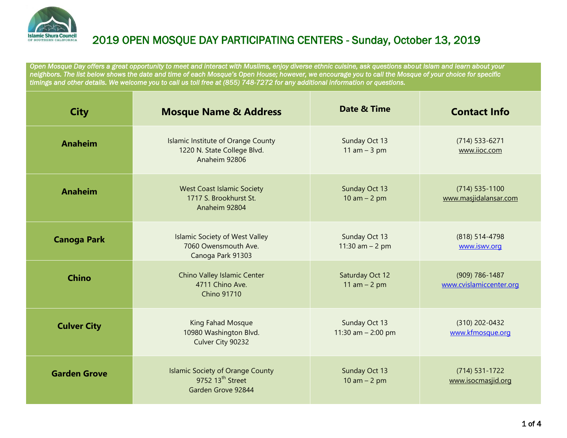

*Open Mosque Day offers a great opportunity to meet and interact with Muslims, enjoy diverse ethnic cuisine, ask questions about Islam and learn about your neighbors. The list below shows the date and time of each Mosque's Open House; however, we encourage you to call the Mosque of your choice for specific timings and other details. We welcome you to call us toll free at (855) 748-7272 for any additional information or questions.* 

| <b>City</b>         | <b>Mosque Name &amp; Address</b>                                                              | <b>Date &amp; Time</b>                | <b>Contact Info</b>                       |
|---------------------|-----------------------------------------------------------------------------------------------|---------------------------------------|-------------------------------------------|
| <b>Anaheim</b>      | Islamic Institute of Orange County<br>1220 N. State College Blvd.<br>Anaheim 92806            | Sunday Oct 13<br>11 $am - 3 pm$       | $(714)$ 533-6271<br>www.iioc.com          |
| <b>Anaheim</b>      | <b>West Coast Islamic Society</b><br>1717 S. Brookhurst St.<br>Anaheim 92804                  | Sunday Oct 13<br>$10$ am $- 2$ pm     | $(714)$ 535-1100<br>www.masjidalansar.com |
| <b>Canoga Park</b>  | <b>Islamic Society of West Valley</b><br>7060 Owensmouth Ave.<br>Canoga Park 91303            | Sunday Oct 13<br>11:30 $am - 2 pm$    | (818) 514-4798<br>www.iswv.org            |
| <b>Chino</b>        | Chino Valley Islamic Center<br>4711 Chino Ave.<br>Chino 91710                                 | Saturday Oct 12<br>11 am $-2$ pm      | (909) 786-1487<br>www.cvislamiccenter.org |
| <b>Culver City</b>  | King Fahad Mosque<br>10980 Washington Blvd.<br>Culver City 90232                              | Sunday Oct 13<br>11:30 am $- 2:00$ pm | (310) 202-0432<br>www.kfmosque.org        |
| <b>Garden Grove</b> | <b>Islamic Society of Orange County</b><br>9752 13 <sup>th</sup> Street<br>Garden Grove 92844 | Sunday Oct 13<br>$10$ am $- 2$ pm     | $(714) 531 - 1722$<br>www.isocmasjid.org  |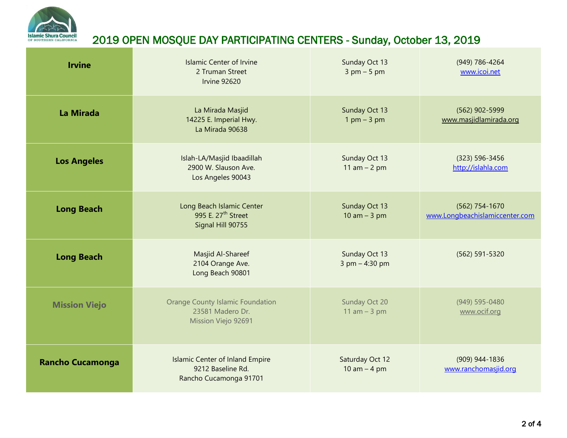

| <b>Irvine</b>           | <b>Islamic Center of Irvine</b><br>2 Truman Street<br><b>Irvine 92620</b>             | Sunday Oct 13<br>$3 \text{ pm} - 5 \text{ pm}$ | (949) 786-4264<br>www.icoi.net                   |
|-------------------------|---------------------------------------------------------------------------------------|------------------------------------------------|--------------------------------------------------|
| <b>La Mirada</b>        | La Mirada Masjid<br>14225 E. Imperial Hwy.<br>La Mirada 90638                         | Sunday Oct 13<br>$1$ pm $-3$ pm                | (562) 902-5999<br>www.masjidlamirada.org         |
| <b>Los Angeles</b>      | Islah-LA/Masjid Ibaadillah<br>2900 W. Slauson Ave.<br>Los Angeles 90043               | Sunday Oct 13<br>11 $am - 2 pm$                | (323) 596-3456<br>http://islahla.com             |
| <b>Long Beach</b>       | Long Beach Islamic Center<br>995 E. 27 <sup>th</sup> Street<br>Signal Hill 90755      | Sunday Oct 13<br>$10$ am $-3$ pm               | (562) 754-1670<br>www.Longbeachislamiccenter.com |
| <b>Long Beach</b>       | Masjid Al-Shareef<br>2104 Orange Ave.<br>Long Beach 90801                             | Sunday Oct 13<br>3 pm - 4:30 pm                | (562) 591-5320                                   |
| <b>Mission Viejo</b>    | <b>Orange County Islamic Foundation</b><br>23581 Madero Dr.<br>Mission Viejo 92691    | Sunday Oct 20<br>11 $am - 3 pm$                | (949) 595-0480<br>www.ocif.org                   |
| <b>Rancho Cucamonga</b> | <b>Islamic Center of Inland Empire</b><br>9212 Baseline Rd.<br>Rancho Cucamonga 91701 | Saturday Oct 12<br>10 am $-$ 4 pm              | (909) 944-1836<br>www.ranchomasjid.org           |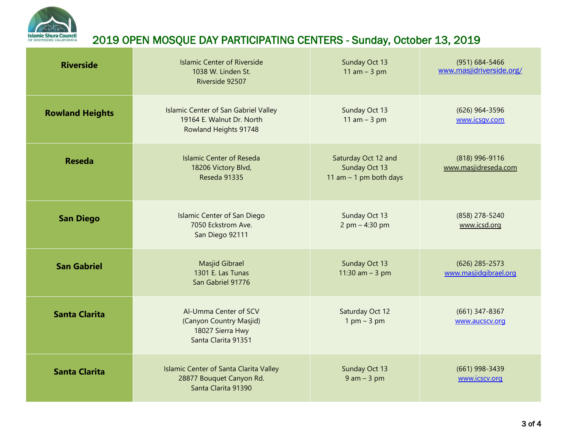

| <b>Riverside</b>       | <b>Islamic Center of Riverside</b><br>1038 W. Linden St.<br>Riverside 92507                      | Sunday Oct 13<br>11 $am - 3 pm$                                  | (951) 684-5466<br>www.masjidriverside.org/ |
|------------------------|--------------------------------------------------------------------------------------------------|------------------------------------------------------------------|--------------------------------------------|
| <b>Rowland Heights</b> | Islamic Center of San Gabriel Valley<br>19164 E. Walnut Dr. North<br>Rowland Heights 91748       | Sunday Oct 13<br>11 $am - 3 pm$                                  | (626) 964-3596<br>www.icsgv.com            |
| <b>Reseda</b>          | <b>Islamic Center of Reseda</b><br>18206 Victory Blvd,<br><b>Reseda 91335</b>                    | Saturday Oct 12 and<br>Sunday Oct 13<br>11 am $-$ 1 pm both days | (818) 996-9116<br>www.masjidreseda.com     |
| <b>San Diego</b>       | <b>Islamic Center of San Diego</b><br>7050 Eckstrom Ave.<br>San Diego 92111                      | Sunday Oct 13<br>2 pm - 4:30 pm                                  | (858) 278-5240<br>www.icsd.org             |
| <b>San Gabriel</b>     | <b>Masjid Gibrael</b><br>1301 E. Las Tunas<br>San Gabriel 91776                                  | Sunday Oct 13<br>11:30 $am - 3 pm$                               | $(626)$ 285-2573<br>www.masjidgibrael.org  |
| <b>Santa Clarita</b>   | Al-Umma Center of SCV<br>(Canyon Country Masjid)<br>18027 Sierra Hwy<br>Santa Clarita 91351      | Saturday Oct 12<br>$1 \text{ pm} - 3 \text{ pm}$                 | (661) 347-8367<br>www.aucscv.org           |
| <b>Santa Clarita</b>   | <b>Islamic Center of Santa Clarita Valley</b><br>28877 Bouquet Canyon Rd.<br>Santa Clarita 91390 | Sunday Oct 13<br>$9 am - 3 pm$                                   | (661) 998-3439<br>www.icscv.org            |